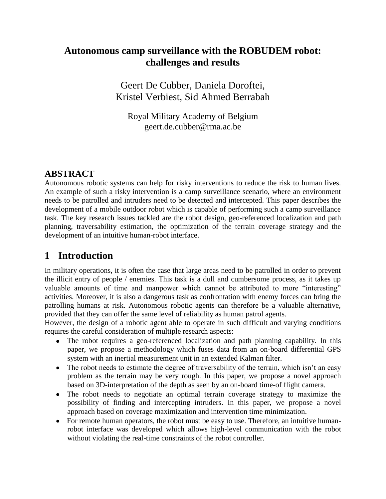# **Autonomous camp surveillance with the ROBUDEM robot: challenges and results**

Geert De Cubber, Daniela Doroftei, Kristel Verbiest, Sid Ahmed Berrabah

Royal Military Academy of Belgium geert.de.cubber@rma.ac.be

# **ABSTRACT**

Autonomous robotic systems can help for risky interventions to reduce the risk to human lives. An example of such a risky intervention is a camp surveillance scenario, where an environment needs to be patrolled and intruders need to be detected and intercepted. This paper describes the development of a mobile outdoor robot which is capable of performing such a camp surveillance task. The key research issues tackled are the robot design, geo-referenced localization and path planning, traversability estimation, the optimization of the terrain coverage strategy and the development of an intuitive human-robot interface.

# **1 Introduction**

In military operations, it is often the case that large areas need to be patrolled in order to prevent the illicit entry of people / enemies. This task is a dull and cumbersome process, as it takes up valuable amounts of time and manpower which cannot be attributed to more "interesting" activities. Moreover, it is also a dangerous task as confrontation with enemy forces can bring the patrolling humans at risk. Autonomous robotic agents can therefore be a valuable alternative, provided that they can offer the same level of reliability as human patrol agents.

However, the design of a robotic agent able to operate in such difficult and varying conditions requires the careful consideration of multiple research aspects:

- The robot requires a geo-referenced localization and path planning capability. In this paper, we propose a methodology which fuses data from an on-board differential GPS system with an inertial measurement unit in an extended Kalman filter.
- The robot needs to estimate the degree of traversability of the terrain, which isn't an easy problem as the terrain may be very rough. In this paper, we propose a novel approach based on 3D-interpretation of the depth as seen by an on-board time-of flight camera.
- The robot needs to negotiate an optimal terrain coverage strategy to maximize the possibility of finding and intercepting intruders. In this paper, we propose a novel approach based on coverage maximization and intervention time minimization.
- For remote human operators, the robot must be easy to use. Therefore, an intuitive humanrobot interface was developed which allows high-level communication with the robot without violating the real-time constraints of the robot controller.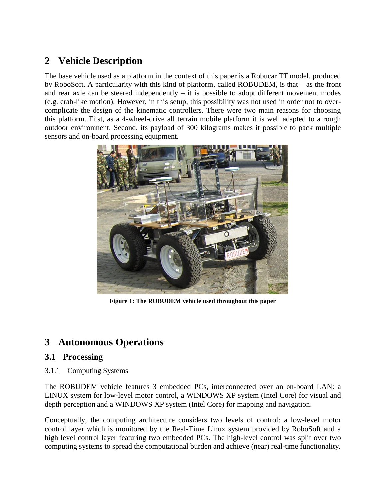# **2 Vehicle Description**

The base vehicle used as a platform in the context of this paper is a Robucar TT model, produced by RoboSoft. A particularity with this kind of platform, called ROBUDEM, is that – as the front and rear axle can be steered independently  $-$  it is possible to adopt different movement modes (e.g. crab-like motion). However, in this setup, this possibility was not used in order not to overcomplicate the design of the kinematic controllers. There were two main reasons for choosing this platform. First, as a 4-wheel-drive all terrain mobile platform it is well adapted to a rough outdoor environment. Second, its payload of 300 kilograms makes it possible to pack multiple sensors and on-board processing equipment.



**Figure 1: The ROBUDEM vehicle used throughout this paper**

# **3 Autonomous Operations**

## **3.1 Processing**

3.1.1 Computing Systems

The ROBUDEM vehicle features 3 embedded PCs, interconnected over an on-board LAN: a LINUX system for low-level motor control, a WINDOWS XP system (Intel Core) for visual and depth perception and a WINDOWS XP system (Intel Core) for mapping and navigation.

Conceptually, the computing architecture considers two levels of control: a low-level motor control layer which is monitored by the Real-Time Linux system provided by RoboSoft and a high level control layer featuring two embedded PCs. The high-level control was split over two computing systems to spread the computational burden and achieve (near) real-time functionality.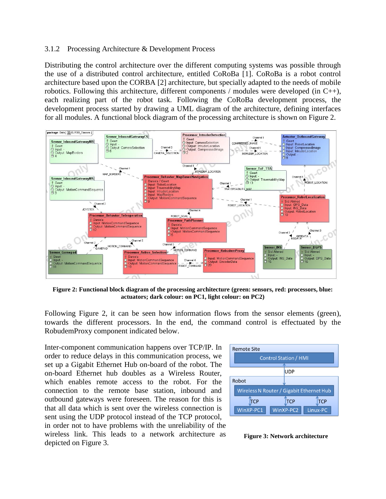#### 3.1.2 Processing Architecture & Development Process

Distributing the control architecture over the different computing systems was possible through the use of a distributed control architecture, entitled CoRoBa [1]. CoRoBa is a robot control architecture based upon the CORBA [2] architecture, but specially adapted to the needs of mobile robotics. Following this architecture, different components / modules were developed (in  $C_{++}$ ), each realizing part of the robot task. Following the CoRoBa development process, the development process started by drawing a UML diagram of the architecture, defining interfaces for all modules. A functional block diagram of the processing architecture is shown on Figure 2.



**Figure 2: Functional block diagram of the processing architecture (green: sensors, red: processors, blue: actuators; dark colour: on PC1, light colour: on PC2)**

Following Figure 2, it can be seen how information flows from the sensor elements (green), towards the different processors. In the end, the command control is effectuated by the RobudemProxy component indicated below.

Inter-component communication happens over TCP/IP. In order to reduce delays in this communication process, we set up a Gigabit Ethernet Hub on-board of the robot. The on-board Ethernet hub doubles as a Wireless Router, which enables remote access to the robot. For the connection to the remote base station, inbound and outbound gateways were foreseen. The reason for this is that all data which is sent over the wireless connection is sent using the UDP protocol instead of the TCP protocol, in order not to have problems with the unreliability of the wireless link. This leads to a network architecture as depicted on Figure 3.



**Figure 3: Network architecture**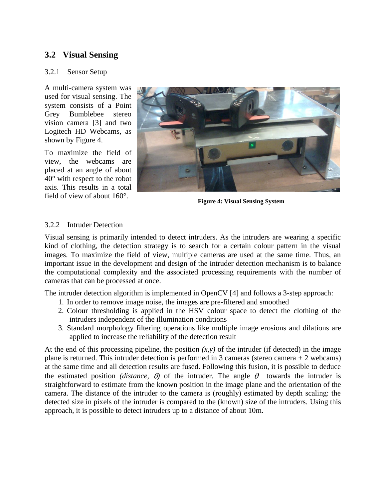## **3.2 Visual Sensing**

#### 3.2.1 Sensor Setup

A multi-camera system was used for visual sensing. The system consists of a Point Grey Bumblebee stereo vision camera [3] and two Logitech HD Webcams, as shown by Figure 4.

To maximize the field of view, the webcams are placed at an angle of about 40° with respect to the robot axis. This results in a total field of view of about 160°.



**Figure 4: Visual Sensing System** 

### 3.2.2 Intruder Detection

Visual sensing is primarily intended to detect intruders. As the intruders are wearing a specific kind of clothing, the detection strategy is to search for a certain colour pattern in the visual images. To maximize the field of view, multiple cameras are used at the same time. Thus, an important issue in the development and design of the intruder detection mechanism is to balance the computational complexity and the associated processing requirements with the number of cameras that can be processed at once.

The intruder detection algorithm is implemented in OpenCV [4] and follows a 3-step approach:

- 1. In order to remove image noise, the images are pre-filtered and smoothed
- 2. Colour thresholding is applied in the HSV colour space to detect the clothing of the intruders independent of the illumination conditions
- 3. Standard morphology filtering operations like multiple image erosions and dilations are applied to increase the reliability of the detection result

At the end of this processing pipeline, the position  $(x, y)$  of the intruder (if detected) in the image plane is returned. This intruder detection is performed in 3 cameras (stereo camera  $+2$  webcams) at the same time and all detection results are fused. Following this fusion, it is possible to deduce the estimated position *(distance,*  $\theta$ *)* of the intruder. The angle  $\theta$  towards the intruder is straightforward to estimate from the known position in the image plane and the orientation of the camera. The distance of the intruder to the camera is (roughly) estimated by depth scaling: the detected size in pixels of the intruder is compared to the (known) size of the intruders. Using this approach, it is possible to detect intruders up to a distance of about 10m.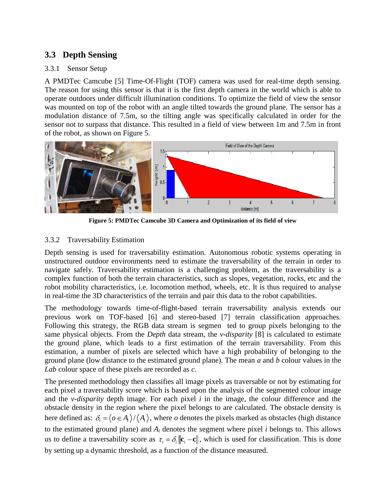# **3.3 Depth Sensing**

### 3.3.1 Sensor Setup

A PMDTec Camcube [5] Time-Of-Flight (TOF) camera was used for real-time depth sensing. The reason for using this sensor is that it is the first depth camera in the world which is able to operate outdoors under difficult illumination conditions. To optimize the field of view the sensor was mounted on top of the robot with an angle tilted towards the ground plane. The sensor has a modulation distance of 7.5m, so the tilting angle was specifically calculated in order for the sensor not to surpass that distance. This resulted in a field of view between 1m and 7.5m in front of the robot, as shown on Figure 5.



**Figure 5: PMDTec Camcube 3D Camera and Optimization of its field of view**

## 3.3.2 Traversability Estimation

Depth sensing is used for traversability estimation. Autonomous robotic systems operating in unstructured outdoor environments need to estimate the traversability of the terrain in order to navigate safely. Traversability estimation is a challenging problem, as the traversability is a complex function of both the terrain characteristics, such as slopes, vegetation, rocks, etc and the robot mobility characteristics, i.e. locomotion method, wheels, etc. It is thus required to analyse in real-time the 3D characteristics of the terrain and pair this data to the robot capabilities.

The methodology towards time-of-flight-based terrain traversability analysis extends our previous work on TOF-based [6] and stereo-based [7] terrain classification approaches. Following this strategy, the RGB data stream is segmen ted to group pixels belonging to the same physical objects. From the *Depth* data stream, the *v-disparity* [8] is calculated to estimate the ground plane, which leads to a first estimation of the terrain traversability. From this estimation, a number of pixels are selected which have a high probability of belonging to the ground plane (low distance to the estimated ground plane). The mean *a* and *b* colour values in the *Lab* colour space of these pixels are recorded as *c*.

The presented methodology then classifies all image pixels as traversable or not by estimating for each pixel a traversability score which is based upon the analysis of the segmented colour image and the *v-disparity* depth image. For each pixel *i* in the image, the colour difference and the obstacle density in the region where the pixel belongs to are calculated. The obstacle density is here defined as:  $\delta_i = \langle o \in A_i \rangle / \langle A_i \rangle$ , where *o* denotes the pixels marked as obstacles (high distance to the estimated ground plane) and *A<sup>i</sup>* denotes the segment where pixel *i* belongs to. This allows us to define a traversability score as  $\tau_i = \delta_i ||\mathbf{c}_i - \mathbf{c}||$ , which is used for classification. This is done by setting up a dynamic threshold, as a function of the distance measured.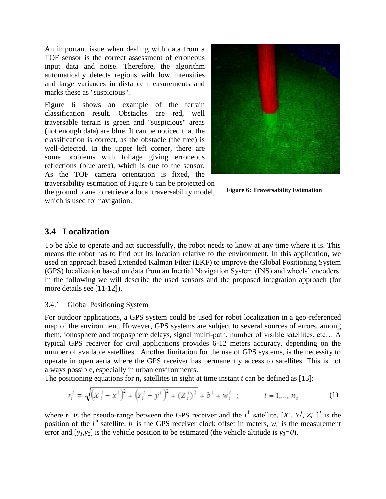An important issue when dealing with data from a TOF sensor is the correct assessment of erroneous input data and noise. Therefore, the algorithm automatically detects regions with low intensities and large variances in distance measurements and marks these as "suspicious".

Figure 6 shows an example of the terrain classification result. Obstacles are red, well traversable terrain is green and "suspicious" areas (not enough data) are blue. It can be noticed that the classification is correct, as the obstacle (the tree) is well-detected. In the upper left corner, there are some problems with foliage giving erroneous reflections (blue area), which is due to the sensor. As the TOF camera orientation is fixed, the traversability estimation of Figure 6 can be projected on

the ground plane to retrieve a local traversability model, which is used for navigation.



**Figure 6: Traversability Estimation** 

## **3.4 Localization**

To be able to operate and act successfully, the robot needs to know at any time where it is. This means the robot has to find out its location relative to the environment. In this application, we used an approach based Extended Kalman Filter (EKF) to improve the Global Positioning System (GPS) localization based on data from an Inertial Navigation System (INS) and wheels' encoders. In the following we will describe the used sensors and the proposed integration approach (for more details see [11-12]).

#### 3.4.1 Global Positioning System

For outdoor applications, a GPS system could be used for robot localization in a geo-referenced map of the environment. However, GPS systems are subject to several sources of errors, among them, ionosphere and troposphere delays, signal multi-path, number of visible satellites, etc… A typical GPS receiver for civil applications provides 6-12 meters accuracy, depending on the number of available satellites. Another limitation for the use of GPS systems, is the necessity to operate in open aeria where the GPS receiver has permanently access to satellites. This is not always possible, especially in urban environments.

The positioning equations for  $n_s$  satellites in sight at time instant *t* can be defined as [13]:

$$
r_i^t = \sqrt{\left(X_i^t - x^t\right)^2 + \left(Y_i^t - y^t\right)^2 + \left(Z_i^t\right)^2} + b^t + w_i^t \quad ; \qquad i = 1, ..., n_s \tag{1}
$$

where  $r_i^t$  is the pseudo-range between the GPS receiver and the *i*<sup>th</sup> satellite,  $[X_i^t, Y_i^t, Z_i^t]^T$  is the position of the  $\hat{i}^{\text{th}}$  satellite,  $b^{\text{t}}$  is the GPS receiver clock offset in meters,  $w_i^{\text{t}}$  is the measurement error and  $[y_1, y_2]$  is the vehicle position to be estimated (the vehicle altitude is  $y_3=0$ ).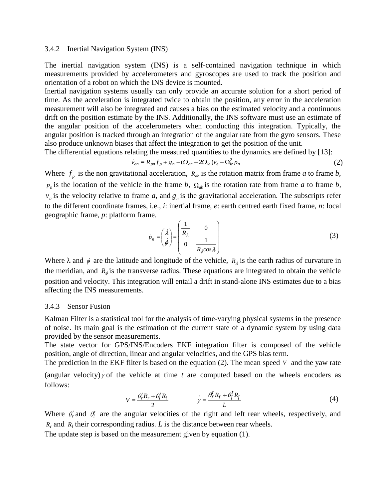#### 3.4.2 Inertial Navigation System (INS)

The inertial navigation system (INS) is a self-contained navigation technique in which measurements provided by accelerometers and gyroscopes are used to track the position and orientation of a robot on which the INS device is mounted.

Inertial navigation systems usually can only provide an accurate solution for a short period of time. As the acceleration is integrated twice to obtain the position, any error in the acceleration measurement will also be integrated and causes a bias on the estimated velocity and a continuous drift on the position estimate by the INS. Additionally, the INS software must use an estimate of the angular position of the accelerometers when conducting this integration. Typically, the angular position is tracked through an integration of the angular rate from the gyro sensors. These also produce unknown biases that affect the integration to get the position of the unit.

The differential equations relating the measured quantities to the dynamics are defined by [13]:

$$
\dot{v}_{en} = R_{pn} f_p + g_n - (\Omega_{en} + 2\Omega_{ie}) v_e - \Omega_{ie}^2 p_n
$$
\n(2)

Where  $f_p$  is the non gravitational acceleration,  $R_{ab}$  is the rotation matrix from frame *a* to frame *b*,  $p_n$  is the location of the vehicle in the frame *b*,  $\Omega_{ab}$  is the rotation rate from frame *a* to frame *b*,  $v_a$  is the velocity relative to frame *a*, and  $g_n$  is the gravitational acceleration. The subscripts refer to the different coordinate frames, i.e., *i*: inertial frame, *e*: earth centred earth fixed frame, *n*: local geographic frame, *p*: platform frame.  $\mathcal{L}$ 

$$
\dot{p}_n = \begin{pmatrix} \dot{\lambda} \\ \dot{\phi} \end{pmatrix} = \begin{pmatrix} \frac{1}{R_{\lambda}} & 0 \\ 0 & \frac{1}{R_{\phi} \cos \lambda} \end{pmatrix}
$$
 (3)

Where  $\lambda$  and  $\phi$  are the latitude and longitude of the vehicle,  $R_{\lambda}$  is the earth radius of curvature in the meridian, and  $R_{\phi}$  is the transverse radius. These equations are integrated to obtain the vehicle position and velocity. This integration will entail a drift in stand-alone INS estimates due to a bias affecting the INS measurements.

#### 3.4.3 Sensor Fusion

Kalman Filter is a statistical tool for the analysis of time-varying physical systems in the presence of noise. Its main goal is the estimation of the current state of a dynamic system by using data provided by the sensor measurements.

The state vector for GPS/INS/Encoders EKF integration filter is composed of the vehicle position, angle of direction, linear and angular velocities, and the GPS bias term.

The prediction in the EKF filter is based on the equation  $(2)$ . The mean speed  $V$  and the yaw rate

(angular velocity)  $\gamma$  of the vehicle at time *t* are computed based on the wheels encoders as follows:

$$
V = \frac{\theta_r^t R_r + \theta_l^t R_l}{2} \qquad \dot{\gamma} = \frac{\theta_r^t R_r + \theta_l^t R_l}{L} \tag{4}
$$

Where  $\theta_r^t$  and  $\theta_l^t$  are the angular velocities of the right and left rear wheels, respectively, and  $R_r$  and  $R_l$  their corresponding radius. *L* is the distance between rear wheels.

The update step is based on the measurement given by equation (1).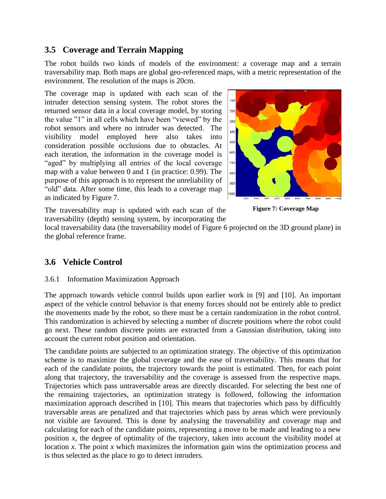## **3.5 Coverage and Terrain Mapping**

The robot builds two kinds of models of the environment: a coverage map and a terrain traversability map. Both maps are global geo-referenced maps, with a metric representation of the environment. The resolution of the maps is 20cm.

The coverage map is updated with each scan of the intruder detection sensing system. The robot stores the returned sensor data in a local coverage model, by storing the value "1" in all cells which have been "viewed" by the robot sensors and where no intruder was detected. The visibility model employed here also takes into consideration possible occlusions due to obstacles. At each iteration, the information in the coverage model is "aged" by multiplying all entries of the local coverage map with a value between 0 and 1 (in practice: 0.99). The purpose of this approach is to represent the unreliability of "old" data. After some time, this leads to a coverage map as indicated by Figure 7.



The traversability map is updated with each scan of the traversability (depth) sensing system, by incorporating the



local traversability data (the traversability model of Figure 6 projected on the 3D ground plane) in the global reference frame.

## **3.6 Vehicle Control**

### 3.6.1 Information Maximization Approach

The approach towards vehicle control builds upon earlier work in [9] and [10]. An important aspect of the vehicle control behavior is that enemy forces should not be entirely able to predict the movements made by the robot, so there must be a certain randomization in the robot control. This randomization is achieved by selecting a number of discrete positions where the robot could go next. These random discrete points are extracted from a Gaussian distribution, taking into account the current robot position and orientation.

The candidate points are subjected to an optimization strategy. The objective of this optimization scheme is to maximize the global coverage and the ease of traversability. This means that for each of the candidate points, the trajectory towards the point is estimated. Then, for each point along that trajectory, the traversability and the coverage is assessed from the respective maps. Trajectories which pass untraversable areas are directly discarded. For selecting the best one of the remaining trajectories, an optimization strategy is followed, following the information maximization approach described in [10]. This means that trajectories which pass by difficultly traversable areas are penalized and that trajectories which pass by areas which were previously not visible are favoured. This is done by analysing the traversability and coverage map and calculating for each of the candidate points, representing a move to be made and leading to a new position *x*, the degree of optimality of the trajectory, taken into account the visibility model at location *x*. The point *x* which maximizes the information gain wins the optimization process and is thus selected as the place to go to detect intruders.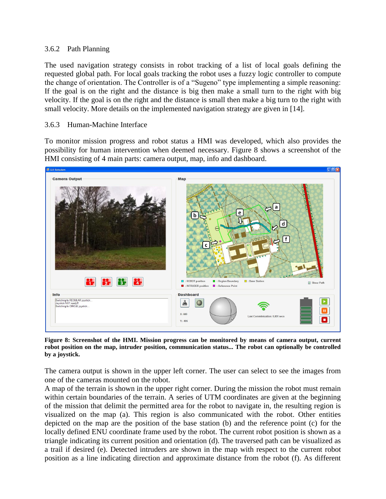### 3.6.2 Path Planning

The used navigation strategy consists in robot tracking of a list of local goals defining the requested global path. For local goals tracking the robot uses a fuzzy logic controller to compute the change of orientation. The Controller is of a "Sugeno" type implementing a simple reasoning: If the goal is on the right and the distance is big then make a small turn to the right with big velocity. If the goal is on the right and the distance is small then make a big turn to the right with small velocity. More details on the implemented navigation strategy are given in [14].

### 3.6.3 Human-Machine Interface

To monitor mission progress and robot status a HMI was developed, which also provides the possibility for human intervention when deemed necessary. Figure 8 shows a screenshot of the HMI consisting of 4 main parts: camera output, map, info and dashboard.



**Figure 8: Screenshot of the HMI. Mission progress can be monitored by means of camera output, current robot position on the map, intruder position, communication status... The robot can optionally be controlled by a joystick.**

The camera output is shown in the upper left corner. The user can select to see the images from one of the cameras mounted on the robot.

A map of the terrain is shown in the upper right corner. During the mission the robot must remain within certain boundaries of the terrain. A series of UTM coordinates are given at the beginning of the mission that delimit the permitted area for the robot to navigate in, the resulting region is visualized on the map (a). This region is also communicated with the robot. Other entities depicted on the map are the position of the base station (b) and the reference point (c) for the locally defined ENU coordinate frame used by the robot. The current robot position is shown as a triangle indicating its current position and orientation (d). The traversed path can be visualized as a trail if desired (e). Detected intruders are shown in the map with respect to the current robot position as a line indicating direction and approximate distance from the robot (f). As different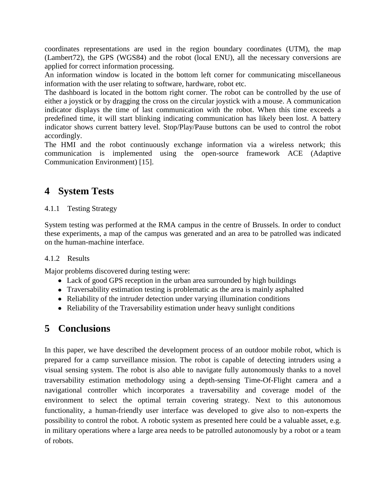coordinates representations are used in the region boundary coordinates (UTM), the map (Lambert72), the GPS (WGS84) and the robot (local ENU), all the necessary conversions are applied for correct information processing.

An information window is located in the bottom left corner for communicating miscellaneous information with the user relating to software, hardware, robot etc.

The dashboard is located in the bottom right corner. The robot can be controlled by the use of either a joystick or by dragging the cross on the circular joystick with a mouse. A communication indicator displays the time of last communication with the robot. When this time exceeds a predefined time, it will start blinking indicating communication has likely been lost. A battery indicator shows current battery level. Stop/Play/Pause buttons can be used to control the robot accordingly.

The HMI and the robot continuously exchange information via a wireless network; this communication is implemented using the open-source framework ACE (Adaptive Communication Environment) [15].

# **4 System Tests**

### 4.1.1 Testing Strategy

System testing was performed at the RMA campus in the centre of Brussels. In order to conduct these experiments, a map of the campus was generated and an area to be patrolled was indicated on the human-machine interface.

### 4.1.2 Results

Major problems discovered during testing were:

- Lack of good GPS reception in the urban area surrounded by high buildings
- Traversability estimation testing is problematic as the area is mainly asphalted
- Reliability of the intruder detection under varying illumination conditions
- Reliability of the Traversability estimation under heavy sunlight conditions

# **5 Conclusions**

In this paper, we have described the development process of an outdoor mobile robot, which is prepared for a camp surveillance mission. The robot is capable of detecting intruders using a visual sensing system. The robot is also able to navigate fully autonomously thanks to a novel traversability estimation methodology using a depth-sensing Time-Of-Flight camera and a navigational controller which incorporates a traversability and coverage model of the environment to select the optimal terrain covering strategy. Next to this autonomous functionality, a human-friendly user interface was developed to give also to non-experts the possibility to control the robot. A robotic system as presented here could be a valuable asset, e.g. in military operations where a large area needs to be patrolled autonomously by a robot or a team of robots.